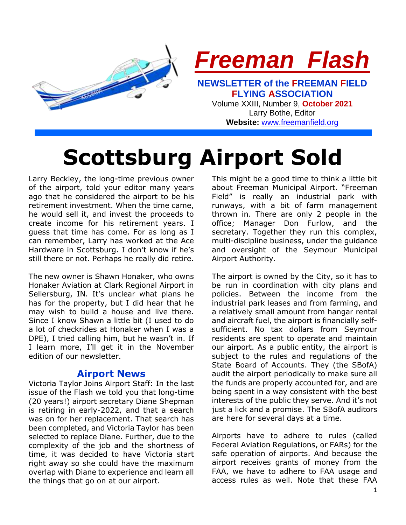

**Scottsburg Airport Sold**

Larry Beckley, the long-time previous owner of the airport, told your editor many years ago that he considered the airport to be his retirement investment. When the time came, he would sell it, and invest the proceeds to create income for his retirement years. I guess that time has come. For as long as I can remember, Larry has worked at the Ace Hardware in Scottsburg. I don't know if he's still there or not. Perhaps he really did retire.

The new owner is Shawn Honaker, who owns Honaker Aviation at Clark Regional Airport in Sellersburg, IN. It's unclear what plans he has for the property, but I did hear that he may wish to build a house and live there. Since I know Shawn a little bit (I used to do a lot of checkrides at Honaker when I was a DPE), I tried calling him, but he wasn't in. If I learn more, I'll get it in the November edition of our newsletter.

### **Airport News**

Victoria Taylor Joins Airport Staff: In the last issue of the Flash we told you that long-time (20 years!) airport secretary Diane Shepman is retiring in early-2022, and that a search was on for her replacement. That search has been completed, and Victoria Taylor has been selected to replace Diane. Further, due to the complexity of the job and the shortness of time, it was decided to have Victoria start right away so she could have the maximum overlap with Diane to experience and learn all the things that go on at our airport.

This might be a good time to think a little bit about Freeman Municipal Airport. "Freeman Field" is really an industrial park with runways, with a bit of farm management thrown in. There are only 2 people in the office; Manager Don Furlow, and the secretary. Together they run this complex, multi-discipline business, under the guidance and oversight of the Seymour Municipal Airport Authority.

The airport is owned by the City, so it has to be run in coordination with city plans and policies. Between the income from the industrial park leases and from farming, and a relatively small amount from hangar rental and aircraft fuel, the airport is financially selfsufficient. No tax dollars from Seymour residents are spent to operate and maintain our airport. As a public entity, the airport is subject to the rules and regulations of the State Board of Accounts. They (the SBofA) audit the airport periodically to make sure all the funds are properly accounted for, and are being spent in a way consistent with the best interests of the public they serve. And it's not just a lick and a promise. The SBofA auditors are here for several days at a time.

Airports have to adhere to rules (called Federal Aviation Regulations, or FARs) for the safe operation of airports. And because the airport receives grants of money from the FAA, we have to adhere to FAA usage and access rules as well. Note that these FAA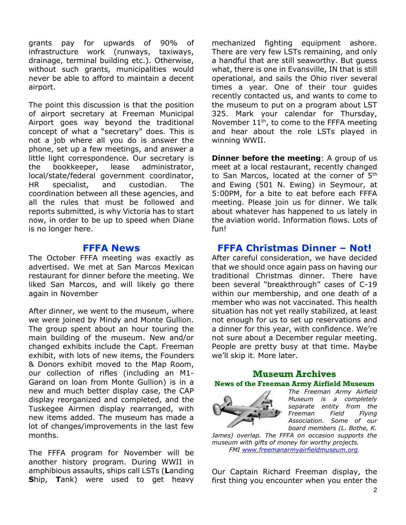grants pay for upwards of 90% of infrastructure work (runways, taxiways, drainage, terminal building etc.). Otherwise, without such grants, municipalities would never be able to afford to maintain a decent airport.

The point this discussion is that the position of airport secretary at Freeman Municipal Airport goes way beyond the traditional concept of what a "secretary" does. This is not a job where all you do is answer the phone, set up a few meetings, and answer a little light correspondence. Our secretary is the bookkeeper, lease administrator, local/state/federal government coordinator, HR specialist, and custodian. The coordination between all these agencies, and all the rules that must be followed and reports submitted, is why Victoria has to start now, in order to be up to speed when Diane is no longer here.

### **FFFA News**

The October FFFA meeting was exactly as advertised. We met at San Marcos Mexican restaurant for dinner before the meeting. We liked San Marcos, and will likely go there again in November

After dinner, we went to the museum, where we were joined by Mindy and Monte Gullion. The group spent about an hour touring the main building of the museum. New and/or changed exhibits include the Capt. Freeman exhibit, with lots of new items, the Founders & Donors exhibit moved to the Map Room, our collection of rifles (including an M1- Garand on loan from Monte Gullion) is in a new and much better display case, the CAP display reorganized and completed, and the Tuskegee Airmen display rearranged, with new items added. The museum has made a lot of changes/improvements in the last few months.

The FFFA program for November will be another history program. During WWII in amphibious assaults, ships call LSTs (**L**anding **S**hip, **T**ank) were used to get heavy

mechanized fighting equipment ashore. There are very few LSTs remaining, and only a handful that are still seaworthy. But guess what, there is one in Evansville, IN that is still operational, and sails the Ohio river several times a year. One of their tour guides recently contacted us, and wants to come to the museum to put on a program about LST 325. Mark your calendar for Thursday, November  $11<sup>th</sup>$ , to come to the FFFA meeting and hear about the role LSTs played in winning WWII.

**Dinner before the meeting:** A group of us meet at a local restaurant, recently changed to San Marcos, located at the corner of 5<sup>th</sup> and Ewing (501 N. Ewing) in Seymour, at 5:00PM, for a bite to eat before each FFFA meeting. Please join us for dinner. We talk about whatever has happened to us lately in the aviation world. Information flows. Lots of fun!

## **FFFA Christmas Dinner – Not!**

After careful consideration, we have decided that we should once again pass on having our traditional Christmas dinner. There have been several "breakthrough" cases of C-19 within our membership, and one death of a member who was not vaccinated. This health situation has not yet really stabilized, at least not enough for us to set up reservations and a dinner for this year, with confidence. We're not sure about a December regular meeting. People are pretty busy at that time. Maybe we'll skip it. More later.

### **Museum Archives News of the Freeman Army Airfield Museum**



*The Freeman Army Airfield Museum is a completely separate entity from the Freeman Field Flying Association. Some of our board members (L. Bothe, K.* 

*James) overlap. The FFFA on occasion supports the museum with gifts of money for worthy projects. FMI [www.freemanarmyairfieldmuseum.org.](http://www.freemanarmyairfieldmuseum.org/)*

Our Captain Richard Freeman display, the first thing you encounter when you enter the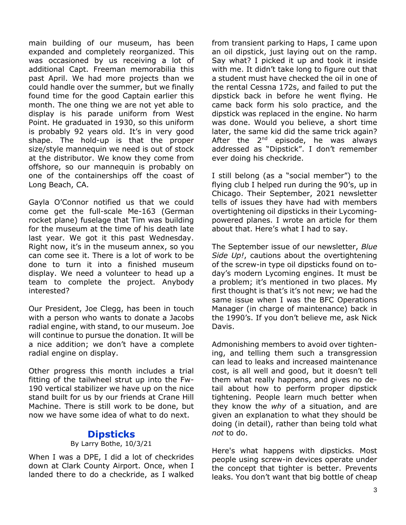main building of our museum, has been expanded and completely reorganized. This was occasioned by us receiving a lot of additional Capt. Freeman memorabilia this past April. We had more projects than we could handle over the summer, but we finally found time for the good Captain earlier this month. The one thing we are not yet able to display is his parade uniform from West Point. He graduated in 1930, so this uniform is probably 92 years old. It's in very good shape. The hold-up is that the proper size/style mannequin we need is out of stock at the distributor. We know they come from offshore, so our mannequin is probably on one of the containerships off the coast of Long Beach, CA.

Gayla O'Connor notified us that we could come get the full-scale Me-163 (German rocket plane) fuselage that Tim was building for the museum at the time of his death late last year. We got it this past Wednesday. Right now, it's in the museum annex, so you can come see it. There is a lot of work to be done to turn it into a finished museum display. We need a volunteer to head up a team to complete the project. Anybody interested?

Our President, Joe Clegg, has been in touch with a person who wants to donate a Jacobs radial engine, with stand, to our museum. Joe will continue to pursue the donation. It will be a nice addition; we don't have a complete radial engine on display.

Other progress this month includes a trial fitting of the tailwheel strut up into the Fw-190 vertical stabilizer we have up on the nice stand built for us by our friends at Crane Hill Machine. There is still work to be done, but now we have some idea of what to do next.

## **Dipsticks**

#### By Larry Bothe, 10/3/21

When I was a DPE, I did a lot of checkrides down at Clark County Airport. Once, when I landed there to do a checkride, as I walked from transient parking to Haps, I came upon an oil dipstick, just laying out on the ramp. Say what? I picked it up and took it inside with me. It didn't take long to figure out that a student must have checked the oil in one of the rental Cessna 172s, and failed to put the dipstick back in before he went flying. He came back form his solo practice, and the dipstick was replaced in the engine. No harm was done. Would you believe, a short time later, the same kid did the same trick again? After the 2<sup>nd</sup> episode, he was always addressed as "Dipstick". I don't remember ever doing his checkride.

I still belong (as a "social member") to the flying club I helped run during the 90's, up in Chicago. Their September, 2021 newsletter tells of issues they have had with members overtightening oil dipsticks in their Lycomingpowered planes. I wrote an article for them about that. Here's what I had to say.

The September issue of our newsletter, *Blue Side Up!*, cautions about the overtightening of the screw-in type oil dipsticks found on today's modern Lycoming engines. It must be a problem; it's mentioned in two places. My first thought is that's it's not new; we had the same issue when I was the BFC Operations Manager (in charge of maintenance) back in the 1990's. If you don't believe me, ask Nick Davis.

Admonishing members to avoid over tightening, and telling them such a transgression can lead to leaks and increased maintenance cost, is all well and good, but it doesn't tell them what really happens, and gives no detail about how to perform proper dipstick tightening. People learn much better when they know the *why* of a situation, and are given an explanation to what they should be doing (in detail), rather than being told what *not* to do.

Here's what happens with dipsticks. Most people using screw-in devices operate under the concept that tighter is better. Prevents leaks. You don't want that big bottle of cheap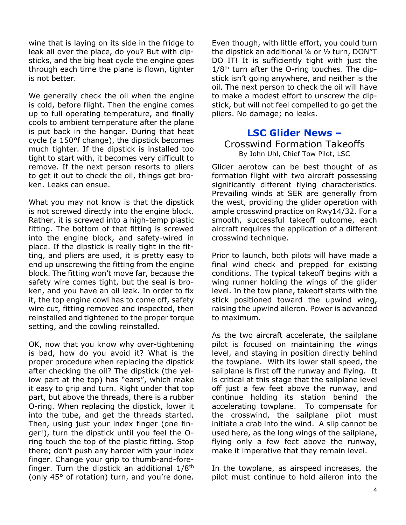wine that is laying on its side in the fridge to leak all over the place, do you? But with dipsticks, and the big heat cycle the engine goes through each time the plane is flown, tighter is not better.

We generally check the oil when the engine is cold, before flight. Then the engine comes up to full operating temperature, and finally cools to ambient temperature after the plane is put back in the hangar. During that heat cycle (a 150°f change), the dipstick becomes much tighter. If the dipstick is installed too tight to start with, it becomes very difficult to remove. If the next person resorts to pliers to get it out to check the oil, things get broken. Leaks can ensue.

What you may not know is that the dipstick is not screwed directly into the engine block. Rather, it is screwed into a high-temp plastic fitting. The bottom of that fitting is screwed into the engine block, and safety-wired in place. If the dipstick is really tight in the fitting, and pliers are used, it is pretty easy to end up unscrewing the fitting from the engine block. The fitting won't move far, because the safety wire comes tight, but the seal is broken, and you have an oil leak. In order to fix it, the top engine cowl has to come off, safety wire cut, fitting removed and inspected, then reinstalled and tightened to the proper torque setting, and the cowling reinstalled.

OK, now that you know why over-tightening is bad, how do you avoid it? What is the proper procedure when replacing the dipstick after checking the oil? The dipstick (the yellow part at the top) has "ears", which make it easy to grip and turn. Right under that top part, but above the threads, there is a rubber O-ring. When replacing the dipstick, lower it into the tube, and get the threads started. Then, using just your index finger (one finger!), turn the dipstick until you feel the Oring touch the top of the plastic fitting. Stop there; don't push any harder with your index finger. Change your grip to thumb-and-forefinger. Turn the dipstick an additional  $1/8$ <sup>th</sup> (only 45° of rotation) turn, and you're done.

Even though, with little effort, you could turn the dipstick an additional ¼ or ½ turn, DON"T DO IT! It is sufficiently tight with just the  $1/8<sup>th</sup>$  turn after the O-ring touches. The dipstick isn't going anywhere, and neither is the oil. The next person to check the oil will have to make a modest effort to unscrew the dipstick, but will not feel compelled to go get the pliers. No damage; no leaks.

## **LSC Glider News –**

### Crosswind Formation Takeoffs By John Uhl, Chief Tow Pilot, LSC

Glider aerotow can be best thought of as formation flight with two aircraft possessing significantly different flying characteristics. Prevailing winds at SER are generally from the west, providing the glider operation with ample crosswind practice on Rwy14/32. For a smooth, successful takeoff outcome, each aircraft requires the application of a different crosswind technique.

Prior to launch, both pilots will have made a final wind check and prepped for existing conditions. The typical takeoff begins with a wing runner holding the wings of the glider level. In the tow plane, takeoff starts with the stick positioned toward the upwind wing, raising the upwind aileron. Power is advanced to maximum.

As the two aircraft accelerate, the sailplane pilot is focused on maintaining the wings level, and staying in position directly behind the towplane. With its lower stall speed, the sailplane is first off the runway and flying. It is critical at this stage that the sailplane level off just a few feet above the runway, and continue holding its station behind the accelerating towplane. To compensate for the crosswind, the sailplane pilot must initiate a crab into the wind. A slip cannot be used here, as the long wings of the sailplane, flying only a few feet above the runway, make it imperative that they remain level.

In the towplane, as airspeed increases, the pilot must continue to hold aileron into the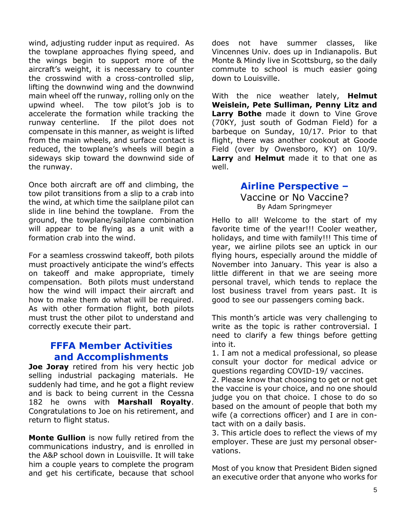wind, adjusting rudder input as required. As the towplane approaches flying speed, and the wings begin to support more of the aircraft's weight, it is necessary to counter the crosswind with a cross-controlled slip, lifting the downwind wing and the downwind main wheel off the runway, rolling only on the upwind wheel. The tow pilot's job is to accelerate the formation while tracking the runway centerline. If the pilot does not compensate in this manner, as weight is lifted from the main wheels, and surface contact is reduced, the towplane's wheels will begin a sideways skip toward the downwind side of the runway.

Once both aircraft are off and climbing, the tow pilot transitions from a slip to a crab into the wind, at which time the sailplane pilot can slide in line behind the towplane. From the ground, the towplane/sailplane combination will appear to be flying as a unit with a formation crab into the wind.

For a seamless crosswind takeoff, both pilots must proactively anticipate the wind's effects on takeoff and make appropriate, timely compensation. Both pilots must understand how the wind will impact their aircraft and how to make them do what will be required. As with other formation flight, both pilots must trust the other pilot to understand and correctly execute their part.

# **FFFA Member Activities and Accomplishments**

**Joe Joray** retired from his very hectic job selling industrial packaging materials. He suddenly had time, and he got a flight review and is back to being current in the Cessna 182 he owns with **Marshall Royalty**. Congratulations to Joe on his retirement, and return to flight status.

**Monte Gullion** is now fully retired from the communications industry, and is enrolled in the A&P school down in Louisville. It will take him a couple years to complete the program and get his certificate, because that school does not have summer classes, like Vincennes Univ. does up in Indianapolis. But Monte & Mindy live in Scottsburg, so the daily commute to school is much easier going down to Louisville.

With the nice weather lately, **Helmut Weislein, Pete Sulliman, Penny Litz and Larry Bothe** made it down to Vine Grove (70KY, just south of Godman Field) for a barbeque on Sunday, 10/17. Prior to that flight, there was another cookout at Goode Field (over by Owensboro, KY) on 10/9. **Larry** and **Helmut** made it to that one as well.

# **Airline Perspective –**

Vaccine or No Vaccine? By Adam Springmeyer

Hello to all! Welcome to the start of my favorite time of the year!!! Cooler weather, holidays, and time with family!!! This time of year, we airline pilots see an uptick in our flying hours, especially around the middle of November into January. This year is also a little different in that we are seeing more personal travel, which tends to replace the lost business travel from years past. It is good to see our passengers coming back.

This month's article was very challenging to write as the topic is rather controversial. I need to clarify a few things before getting into it.

1. I am not a medical professional, so please consult your doctor for medical advice or questions regarding COVID-19/ vaccines.

2. Please know that choosing to get or not get the vaccine is your choice, and no one should judge you on that choice. I chose to do so based on the amount of people that both my wife (a corrections officer) and I are in contact with on a daily basis.

3. This article does to reflect the views of my employer. These are just my personal observations.

Most of you know that President Biden signed an executive order that anyone who works for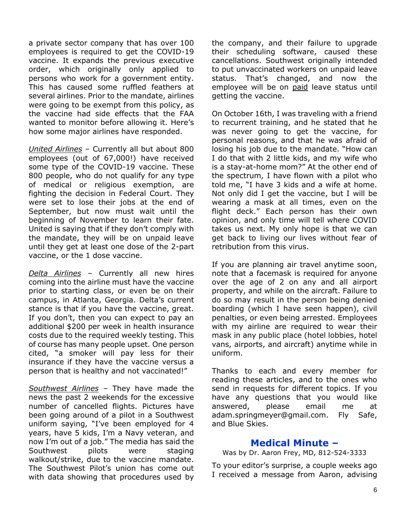a private sector company that has over 100 employees is required to get the COVID-19 vaccine. It expands the previous executive order, which originally only applied to persons who work for a government entity. This has caused some ruffled feathers at several airlines. Prior to the mandate, airlines were going to be exempt from this policy, as the vaccine had side effects that the FAA wanted to monitor before allowing it. Here's how some major airlines have responded.

*United Airlines* – Currently all but about 800 employees (out of 67,000!) have received some type of the COVID-19 vaccine. These 800 people, who do not qualify for any type of medical or religious exemption, are fighting the decision in Federal Court. They were set to lose their jobs at the end of September, but now must wait until the beginning of November to learn their fate. United is saying that if they don't comply with the mandate, they will be on unpaid leave until they get at least one dose of the 2-part vaccine, or the 1 dose vaccine.

*Delta Airlines* – Currently all new hires coming into the airline must have the vaccine prior to starting class, or even be on their campus, in Atlanta, Georgia. Delta's current stance is that if you have the vaccine, great. If you don't, then you can expect to pay an additional \$200 per week in health insurance costs due to the required weekly testing. This of course has many people upset. One person cited, "a smoker will pay less for their insurance if they have the vaccine versus a person that is healthy and not vaccinated!"

*Southwest Airlines* – They have made the news the past 2 weekends for the excessive number of cancelled flights. Pictures have been going around of a pilot in a Southwest uniform saying, "I've been employed for 4 years, have 5 kids, I'm a Navy veteran, and now I'm out of a job." The media has said the Southwest pilots were staging walkout/strike, due to the vaccine mandate. The Southwest Pilot's union has come out with data showing that procedures used by the company, and their failure to upgrade their scheduling software, caused these cancellations. Southwest originally intended to put unvaccinated workers on unpaid leave status. That's changed, and now the employee will be on paid leave status until getting the vaccine.

On October 16th, I was traveling with a friend to recurrent training, and he stated that he was never going to get the vaccine, for personal reasons, and that he was afraid of losing his job due to the mandate. "How can I do that with 2 little kids, and my wife who is a stay-at-home mom?" At the other end of the spectrum, I have flown with a pilot who told me, "I have 3 kids and a wife at home. Not only did I get the vaccine, but I will be wearing a mask at all times, even on the flight deck." Each person has their own opinion, and only time will tell where COVID takes us next. My only hope is that we can get back to living our lives without fear of retribution from this virus.

If you are planning air travel anytime soon, note that a facemask is required for anyone over the age of 2 on any and all airport property, and while on the aircraft. Failure to do so may result in the person being denied boarding (which I have seen happen), civil penalties, or even being arrested. Employees with my airline are required to wear their mask in any public place (hotel lobbies, hotel vans, airports, and aircraft) anytime while in uniform.

Thanks to each and every member for reading these articles, and to the ones who send in requests for different topics. If you have any questions that you would like answered, please email me at [adam.springmeyer@gmail.com.](mailto:adam.springmeyer@gmail.com) Fly Safe, and Blue Skies.

### **Medical Minute –**

Was by Dr. Aaron Frey, MD, 812-524-3333

To your editor's surprise, a couple weeks ago I received a message from Aaron, advising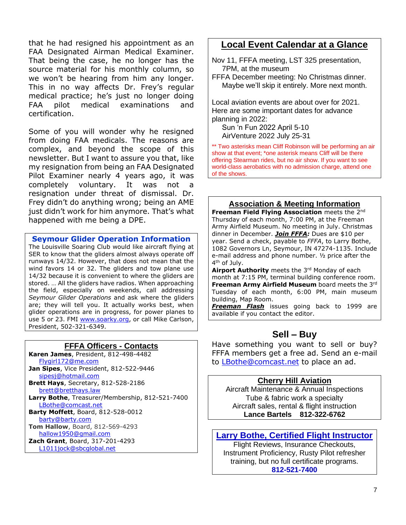that he had resigned his appointment as an FAA Designated Airman Medical Examiner. That being the case, he no longer has the source material for his monthly column, so we won't be hearing from him any longer. This in no way affects Dr. Frey's regular medical practice; he's just no longer doing FAA pilot medical examinations and certification.

Some of you will wonder why he resigned from doing FAA medicals. The reasons are complex, and beyond the scope of this newsletter. But I want to assure you that, like my resignation from being an FAA Designated Pilot Examiner nearly 4 years ago, it was completely voluntary. It was not a resignation under threat of dismissal. Dr. Frey didn't do anything wrong; being an AME just didn't work for him anymore. That's what happened with me being a DPE.

**Seymour Glider Operation Information**

The Louisville Soaring Club would like aircraft flying at SER to know that the gliders almost always operate off runways 14/32. However, that does not mean that the wind favors 14 or 32. The gliders and tow plane use 14/32 because it is convenient to where the gliders are stored. … All the gliders have radios. When approaching the field, especially on weekends, call addressing *Seymour Glider Operations* and ask where the gliders are; they will tell you. It actually works best, when glider operations are in progress, for power planes to use 5 or 23. FMI [www.soarky.org,](http://www.soarky.org/) or call Mike Carlson, President, 502-321-6349.

### **FFFA Officers - Contacts**

**Karen James**, President, 812-498-4482 [Flygirl172@me.com](mailto:Flygirl172@me.com) **Jan Sipes**, Vice President, 812-522-9446

 [sipesj@hotmail.com](mailto:sipesj@hotmail.com) **Brett Hays**, Secretary, 812-528-2186 [brett@bretthays.law](mailto:brett@bretthays.law)

**Larry Bothe**, Treasurer/Membership, 812-521-7400 [LBothe@comcast.net](mailto:LBothe@comcast.net)

**Barty Moffett**, Board, 812-528-0012 [barty@barty.com](mailto:barty@barty.com)

**Tom Hallow**, Board, 812-569-4293 [hallow1950@gmail.com](mailto:hallow1950@gmail.com)

**Zach Grant**, Board, 317-201-4293 [L1011jock@sbcglobal.net](mailto:L1011jock@sbcglobal.net)

## **Local Event Calendar at a Glance**

Nov 11, FFFA meeting, LST 325 presentation, 7PM, at the museum

FFFA December meeting: No Christmas dinner. Maybe we'll skip it entirely. More next month.

Local aviation events are about over for 2021. Here are some important dates for advance planning in 2022:

 Sun 'n Fun 2022 April 5-10 AirVenture 2022 July 25-31

\*\* Two asterisks mean Cliff Robinson will be performing an air show at that event; \*one asterisk means Cliff will be there offering Stearman rides, but no air show. If you want to see world-class aerobatics with no admission charge, attend one of the shows.

### **Association & Meeting Information**

**Freeman Field Flying Association** meets the 2nd Thursday of each month, 7:00 PM, at the Freeman Army Airfield Museum. No meeting in July. Christmas dinner in December. *Join FFFA:* Dues are \$10 per year. Send a check, payable to *FFFA*, to Larry Bothe, 1082 Governors Ln, Seymour, IN 47274-1135. Include e-mail address and phone number. ½ price after the 4<sup>th</sup> of July.

Airport Authority meets the 3rd Monday of each month at 7:15 PM, terminal building conference room. **Freeman Army Airfield Museum** board meets the 3rd Tuesday of each month, 6:00 PM, main museum building, Map Room.

*Freeman Flash* issues going back to 1999 are available if you contact the editor.

## **Sell – Buy**

Have something you want to sell or buy? FFFA members get a free ad. Send an e-mail to [LBothe@comcast.net](mailto:LBothe@comcast.net) to place an ad.

#### **Cherry Hill Aviation**

Aircraft Maintenance & Annual Inspections Tube & fabric work a specialty Aircraft sales, rental & flight instruction **Lance Bartels 812-322-6762**

### **Larry Bothe, Certified Flight Instructor**

Flight Reviews, Insurance Checkouts, Instrument Proficiency, Rusty Pilot refresher training, but no full certificate programs. **812-521-7400**